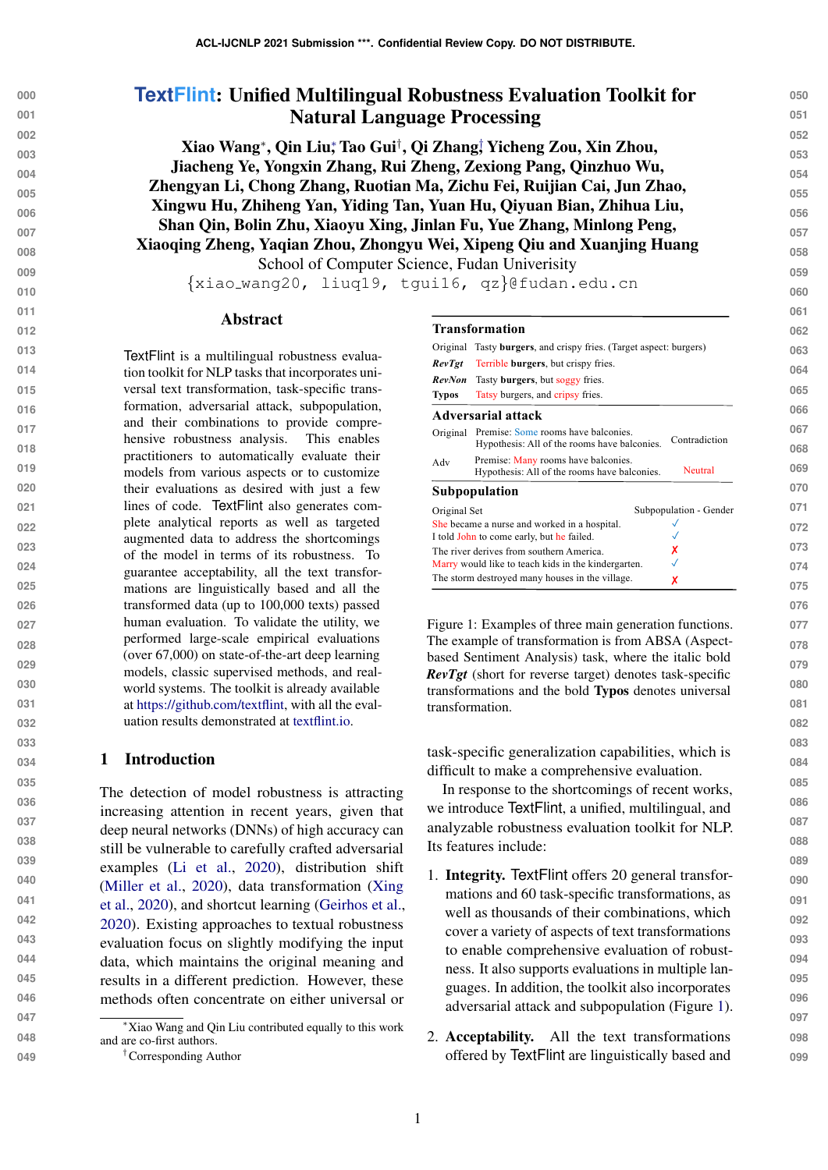| <b>TextFlint: Unified Multilingual Robustness Evaluation Toolkit for</b>      | 050 |
|-------------------------------------------------------------------------------|-----|
| <b>Natural Language Processing</b>                                            | 051 |
| Xiao Wang*, Qin Liu*, Tao Gui <sup>†</sup> , Qi Zhang† Yicheng Zou, Xin Zhou, | 052 |
|                                                                               | 053 |
| Jiacheng Ye, Yongxin Zhang, Rui Zheng, Zexiong Pang, Qinzhuo Wu,              | 054 |
| Zhengyan Li, Chong Zhang, Ruotian Ma, Zichu Fei, Ruijian Cai, Jun Zhao,       | 055 |
| Xingwu Hu, Zhiheng Yan, Yiding Tan, Yuan Hu, Qiyuan Bian, Zhihua Liu,         | 056 |
| Shan Qin, Bolin Zhu, Xiaoyu Xing, Jinlan Fu, Yue Zhang, Minlong Peng,         | 057 |
| Xiaoqing Zheng, Yaqian Zhou, Zhongyu Wei, Xipeng Qiu and Xuanjing Huang       |     |
| School of Computer Science, Fudan University                                  | 058 |
|                                                                               | 059 |
| {xiao_wang20, liuq19, tgui16, qz}@fudan.edu.cn                                | 060 |

#### Abstract

**013 014 015 016 017 018 019 020 021 022 023 024 025 026 027 028 029 030 031 032** TextFlint is a multilingual robustness evaluation toolkit for NLP tasks that incorporates universal text transformation, task-specific transformation, adversarial attack, subpopulation, and their combinations to provide comprehensive robustness analysis. This enables practitioners to automatically evaluate their models from various aspects or to customize their evaluations as desired with just a few lines of code. TextFlint also generates complete analytical reports as well as targeted augmented data to address the shortcomings of the model in terms of its robustness. To guarantee acceptability, all the text transformations are linguistically based and all the transformed data (up to 100,000 texts) passed human evaluation. To validate the utility, we performed large-scale empirical evaluations (over 67,000) on state-of-the-art deep learning models, classic supervised methods, and realworld systems. The toolkit is already available at [https://github.com/textflint,](https://github.com/textflint) with all the evaluation results demonstrated at [textflint.io.](textflint.io)

## 1 Introduction

The detection of model robustness is attracting increasing attention in recent years, given that deep neural networks (DNNs) of high accuracy can still be vulnerable to carefully crafted adversarial examples [\(Li et al.,](#page-6-0) [2020\)](#page-6-0), distribution shift [\(Miller et al.,](#page-6-1) [2020\)](#page-6-1), data transformation [\(Xing](#page-7-0) [et al.,](#page-7-0) [2020\)](#page-7-0), and shortcut learning [\(Geirhos et al.,](#page-6-2) [2020\)](#page-6-2). Existing approaches to textual robustness evaluation focus on slightly modifying the input data, which maintains the original meaning and results in a different prediction. However, these methods often concentrate on either universal or

#### <span id="page-0-0"></span>**Transformation**

| Original      | Tasty <b>burgers</b> , and crispy fries. (Target aspect: burgers)                            |                        |
|---------------|----------------------------------------------------------------------------------------------|------------------------|
| <b>RevTgt</b> | Terrible burgers, but crispy fries.                                                          |                        |
| <b>RevNon</b> | Tasty <b>burgers</b> , but soggy fries.                                                      |                        |
| <b>Typos</b>  | Tatsy burgers, and cripsy fries.                                                             |                        |
|               | Adversarial attack                                                                           |                        |
|               | Original Premise: Some rooms have balconies.<br>Hypothesis: All of the rooms have balconies. | Contradiction          |
| Adv           | Premise: Many rooms have balconies.<br>Hypothesis: All of the rooms have balconies.          | Neutral                |
|               | Subpopulation                                                                                |                        |
| Original Set  |                                                                                              | Subpopulation - Gender |
|               | She became a nurse and worked in a hospital.                                                 |                        |
|               | I told John to come early, but he failed.                                                    |                        |
|               | The river derives from southern America.                                                     | x                      |
|               | Marry would like to teach kids in the kindergarten.                                          |                        |
|               | The storm destroyed many houses in the village.                                              | х                      |

Figure 1: Examples of three main generation functions. The example of transformation is from ABSA (Aspectbased Sentiment Analysis) task, where the italic bold *RevTgt* (short for reverse target) denotes task-specific transformations and the bold Typos denotes universal transformation.

task-specific generalization capabilities, which is difficult to make a comprehensive evaluation.

In response to the shortcomings of recent works, we introduce TextFlint, a unified, multilingual, and analyzable robustness evaluation toolkit for NLP. Its features include:

- 1. Integrity. TextFlint offers 20 general transformations and 60 task-specific transformations, as well as thousands of their combinations, which cover a variety of aspects of text transformations to enable comprehensive evaluation of robustness. It also supports evaluations in multiple languages. In addition, the toolkit also incorporates adversarial attack and subpopulation (Figure [1\)](#page-0-0).
- 2. Acceptability. All the text transformations offered by TextFlint are linguistically based and

<sup>∗</sup>Xiao Wang and Qin Liu contributed equally to this work and are co-first authors.

<sup>†</sup>Corresponding Author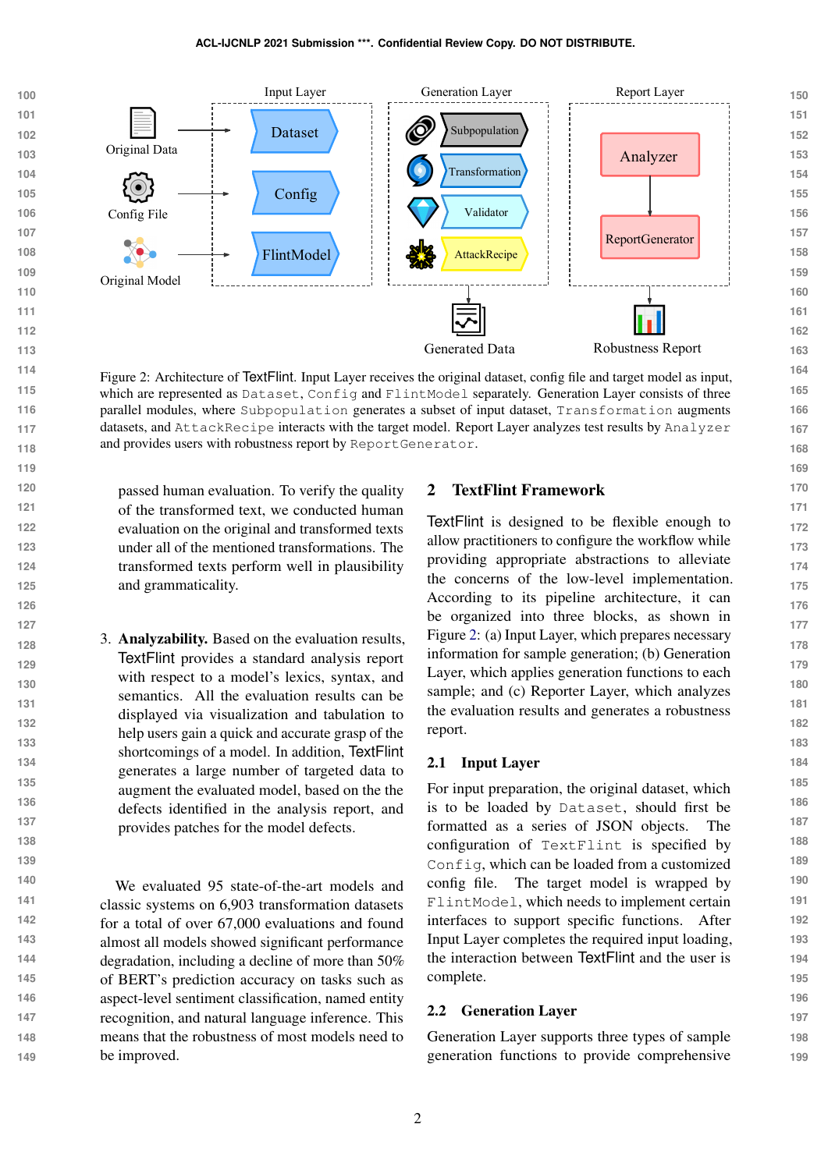<span id="page-1-0"></span>

Figure 2: Architecture of TextFlint. Input Layer receives the original dataset, config file and target model as input, which are represented as Dataset, Config and FlintModel separately. Generation Layer consists of three parallel modules, where Subpopulation generates a subset of input dataset, Transformation augments datasets, and AttackRecipe interacts with the target model. Report Layer analyzes test results by Analyzer and provides users with robustness report by ReportGenerator.

passed human evaluation. To verify the quality of the transformed text, we conducted human evaluation on the original and transformed texts under all of the mentioned transformations. The transformed texts perform well in plausibility and grammaticality.

3. Analyzability. Based on the evaluation results, TextFlint provides a standard analysis report with respect to a model's lexics, syntax, and semantics. All the evaluation results can be displayed via visualization and tabulation to help users gain a quick and accurate grasp of the shortcomings of a model. In addition, TextFlint generates a large number of targeted data to augment the evaluated model, based on the the defects identified in the analysis report, and provides patches for the model defects.

**140 141 142 143 144 145 146 147 148 149** We evaluated 95 state-of-the-art models and classic systems on 6,903 transformation datasets for a total of over 67,000 evaluations and found almost all models showed significant performance degradation, including a decline of more than 50% of BERT's prediction accuracy on tasks such as aspect-level sentiment classification, named entity recognition, and natural language inference. This means that the robustness of most models need to be improved.

# 2 TextFlint Framework

TextFlint is designed to be flexible enough to allow practitioners to configure the workflow while providing appropriate abstractions to alleviate the concerns of the low-level implementation. According to its pipeline architecture, it can be organized into three blocks, as shown in Figure [2:](#page-1-0) (a) Input Layer, which prepares necessary information for sample generation; (b) Generation Layer, which applies generation functions to each sample; and (c) Reporter Layer, which analyzes the evaluation results and generates a robustness report.

#### 2.1 Input Layer

For input preparation, the original dataset, which is to be loaded by Dataset, should first be formatted as a series of JSON objects. The configuration of TextFlint is specified by Config, which can be loaded from a customized config file. The target model is wrapped by FlintModel, which needs to implement certain interfaces to support specific functions. After Input Layer completes the required input loading, the interaction between TextFlint and the user is complete.

# 2.2 Generation Layer

Generation Layer supports three types of sample generation functions to provide comprehensive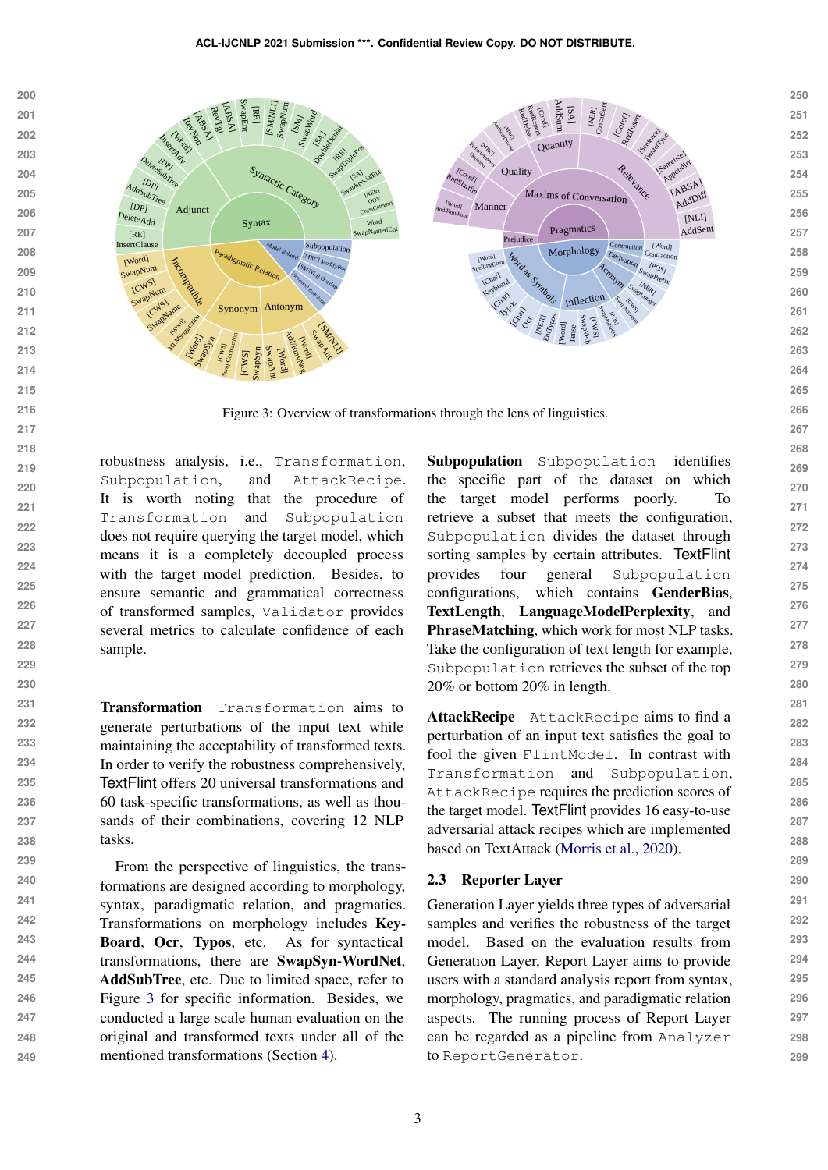<span id="page-2-0"></span>

Figure 3: Overview of transformations through the lens of linguistics.

robustness analysis, i.e., Transformation, Subpopulation, and AttackRecipe. It is worth noting that the procedure of Transformation and Subpopulation does not require querying the target model, which means it is a completely decoupled process with the target model prediction. Besides, to ensure semantic and grammatical correctness of transformed samples, Validator provides several metrics to calculate confidence of each sample.

Transformation Transformation aims to generate perturbations of the input text while maintaining the acceptability of transformed texts. In order to verify the robustness comprehensively, TextFlint offers 20 universal transformations and 60 task-specific transformations, as well as thousands of their combinations, covering 12 NLP tasks.

**239 240 241 242 243 244 245 246 247 248 249** From the perspective of linguistics, the transformations are designed according to morphology, syntax, paradigmatic relation, and pragmatics. Transformations on morphology includes Key-Board, Ocr, Typos, etc. As for syntactical transformations, there are SwapSyn-WordNet, AddSubTree, etc. Due to limited space, refer to Figure [3](#page-2-0) for specific information. Besides, we conducted a large scale human evaluation on the original and transformed texts under all of the mentioned transformations (Section [4\)](#page-4-0).

Subpopulation Subpopulation identifies the specific part of the dataset on which the target model performs poorly. To retrieve a subset that meets the configuration, Subpopulation divides the dataset through sorting samples by certain attributes. TextFlint provides four general Subpopulation configurations, which contains GenderBias, TextLength, LanguageModelPerplexity, and PhraseMatching, which work for most NLP tasks. Take the configuration of text length for example, Subpopulation retrieves the subset of the top 20% or bottom 20% in length.

AttackRecipe AttackRecipe aims to find a perturbation of an input text satisfies the goal to fool the given FlintModel. In contrast with Transformation and Subpopulation, AttackRecipe requires the prediction scores of the target model. TextFlint provides 16 easy-to-use adversarial attack recipes which are implemented based on TextAttack [\(Morris et al.,](#page-6-3) [2020\)](#page-6-3).

#### 2.3 Reporter Layer

Generation Layer yields three types of adversarial samples and verifies the robustness of the target model. Based on the evaluation results from Generation Layer, Report Layer aims to provide users with a standard analysis report from syntax, morphology, pragmatics, and paradigmatic relation aspects. The running process of Report Layer can be regarded as a pipeline from Analyzer to ReportGenerator.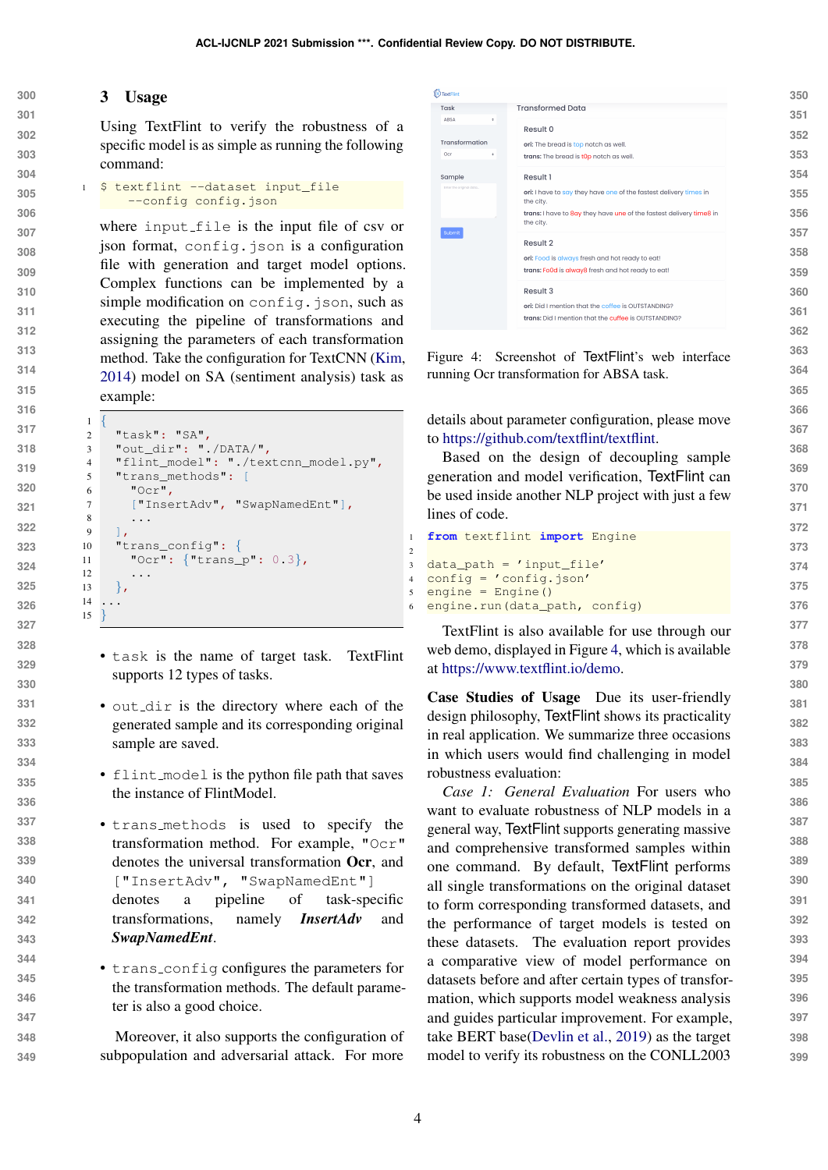#### 3 Usage

Using TextFlint to verify the robustness of a specific model is as simple as running the following command:

```
305
306
           $ textflint --dataset input_file
               --config config.json
```
where input file is the input file of csv or json format, config.json is a configuration file with generation and target model options. Complex functions can be implemented by a simple modification on config.json, such as executing the pipeline of transformations and assigning the parameters of each transformation method. Take the configuration for TextCNN [\(Kim,](#page-6-4) [2014\)](#page-6-4) model on SA (sentiment analysis) task as example:

```
\overline{1}2 "task": "SA",
3 "out_dir": "./DATA/",
4 "flint_model": "./textcnn_model.py",
5 "trans methods": [
6 "Ocr"
7 ["InsertAdv", "SwapNamedEnt"],
8 ...
9 ],
10 "trans_config": {
11 "Ocr": {"trans_p": 0.3},
1213 \quad \frac{1}{2}14 ...
15 }
```
- task is the name of target task. TextFlint supports 12 types of tasks.
- out dir is the directory where each of the generated sample and its corresponding original sample are saved.
- flint model is the python file path that saves the instance of FlintModel.
- • trans methods is used to specify the transformation method. For example, "Ocr" denotes the universal transformation Ocr, and ["InsertAdv", "SwapNamedEnt"] denotes a pipeline of task-specific transformations, namely *InsertAdv* and *SwapNamedEnt*.
	- trans config configures the parameters for the transformation methods. The default parameter is also a good choice.

 Moreover, it also supports the configuration of subpopulation and adversarial attack. For more

<span id="page-3-0"></span>

| TextFlint                  |                                                                                                            | 350 |
|----------------------------|------------------------------------------------------------------------------------------------------------|-----|
| Task<br><b>ABSA</b><br>٠   | <b>Transformed Data</b>                                                                                    | 351 |
|                            | Result 0                                                                                                   | 352 |
| Transformation<br>Ocr<br>÷ | ori: The bread is top notch as well.<br>trans: The bread is t0p notch as well.                             | 353 |
| Sample                     | Result 1                                                                                                   | 354 |
| Inter the original data    | ori: I have to say they have one of the fastest delivery times in<br>the city.                             | 355 |
|                            | trans: I have to 8ay they have une of the fastest delivery time8 in<br>the city.                           | 356 |
| Submit                     | Result 2                                                                                                   | 357 |
|                            | ori: Food is always fresh and hot ready to eat!                                                            | 358 |
|                            | trans: Fo0d is alway8 fresh and hot ready to eat!                                                          | 359 |
|                            | Result 3                                                                                                   | 360 |
|                            | ori: Did I mention that the coffee is OUTSTANDING?<br>trans: Did I mention that the cuffee is OUTSTANDING? | 361 |
|                            |                                                                                                            | 362 |

Figure 4: Screenshot of TextFlint's web interface running Ocr transformation for ABSA task.

details about parameter configuration, please move to [https://github.com/textflint/textflint.](https://github.com/textflint/textflint)

Based on the design of decoupling sample generation and model verification, TextFlint can be used inside another NLP project with just a few lines of code.

**from** textflint **import** Engine

```
3 data_path = 'input_file'
4 config = 'config.json'
5 engine = Engine()
6 engine.run(data_path, config)
```
TextFlint is also available for use through our web demo, displayed in Figure [4,](#page-3-0) which is available at [https://www.textflint.io/demo.](https://www.textflint.io/demo)

Case Studies of Usage Due its user-friendly design philosophy, TextFlint shows its practicality in real application. We summarize three occasions in which users would find challenging in model robustness evaluation:

*Case 1: General Evaluation* For users who want to evaluate robustness of NLP models in a general way, TextFlint supports generating massive and comprehensive transformed samples within one command. By default, TextFlint performs all single transformations on the original dataset to form corresponding transformed datasets, and the performance of target models is tested on these datasets. The evaluation report provides a comparative view of model performance on datasets before and after certain types of transformation, which supports model weakness analysis and guides particular improvement. For example, take BERT base[\(Devlin et al.,](#page-6-5) [2019\)](#page-6-5) as the target model to verify its robustness on the CONLL2003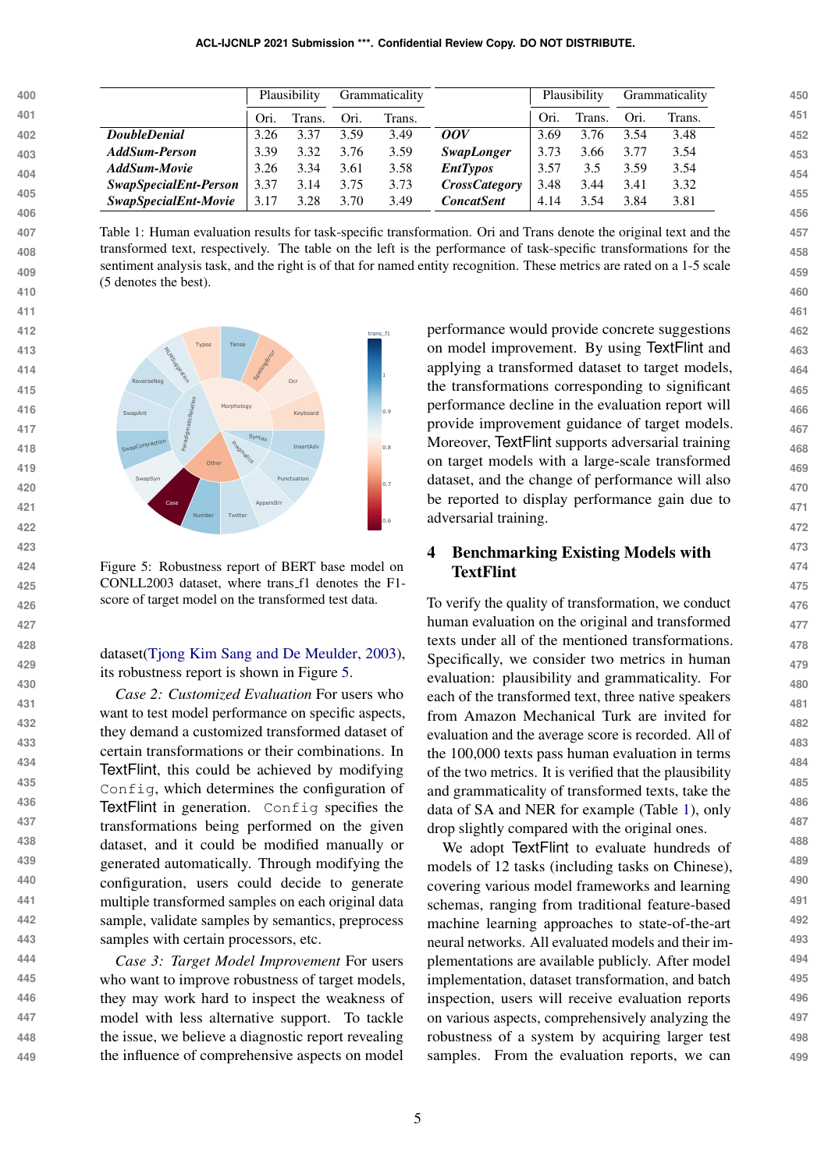<span id="page-4-2"></span>

|                       |      |        |              |        |                      |      |        |              | Grammaticality |
|-----------------------|------|--------|--------------|--------|----------------------|------|--------|--------------|----------------|
|                       | Ori. | Frans. | Ori.         | Trans. |                      | Ori. | Trans. | Ori.         | Trans.         |
| <b>DoubleDenial</b>   | 3.26 | 3.37   | 3.59         | 3.49   | 00V                  | 3.69 | 3.76   | 3.54         | 3.48           |
| AddSum-Person         | 3.39 | 3.32   | 3.76         | 3.59   | <i>SwapLonger</i>    | 3.73 | 3.66   | 3.77         | 3.54           |
| AddSum-Movie          | 3.26 | 3.34   | 3.61         | 3.58   | <b>EntTypos</b>      | 3.57 | 3.5    | 3.59         | 3.54           |
| SwapSpecialEnt-Person | 3.37 | 3.14   | 3.75         | 3.73   | <b>CrossCategory</b> | 3.48 | 3.44   | 3.41         | 3.32           |
| SwapSpecialEnt-Movie  | 3.17 | 3.28   | 3.70         | 3.49   | <b>ConcatSent</b>    | 4.14 | 3.54   | 3.84         | 3.81           |
|                       |      |        | Plausibility |        | Grammaticality       |      |        | Plausibility |                |

Table 1: Human evaluation results for task-specific transformation. Ori and Trans denote the original text and the transformed text, respectively. The table on the left is the performance of task-specific transformations for the sentiment analysis task, and the right is of that for named entity recognition. These metrics are rated on a 1-5 scale (5 denotes the best).

<span id="page-4-1"></span>

**447**

<sub>426</sub> score of target model on the transformed test data. To ve Figure 5: Robustness report of BERT base model on CONLL2003 dataset, where trans f1 denotes the F1-

dataset[\(Tjong Kim Sang and De Meulder,](#page-7-1) [2003\)](#page-7-1), its robustness report is shown in Figure [5.](#page-4-1)

*Case 2: Customized Evaluation* For users who want to test model performance on specific aspects. they demand a customized transformed dataset of certain transformations or their combinations. In TextFlint, this could be achieved by modifying Config, which determines the configuration of TextFlint in generation. Config specifies the transformations being performed on the given dataset, and it could be modified manually or generated automatically. Through modifying the configuration, users could decide to generate multiple transformed samples on each original data sample, validate samples by semantics, preprocess samples with certain processors, etc.

**444 445 446 448 449** *Case 3: Target Model Improvement* For users who want to improve robustness of target models, they may work hard to inspect the weakness of model with less alternative support. To tackle the issue, we believe a diagnostic report revealing the influence of comprehensive aspects on model

performance would provide concrete suggestions on model improvement. By using TextFlint and applying a transformed dataset to target models, the transformations corresponding to significant performance decline in the evaluation report will provide improvement guidance of target models. Moreover, TextFlint supports adversarial training on target models with a large-scale transformed dataset, and the change of performance will also be reported to display performance gain due to adversarial training.

# <span id="page-4-0"></span>4 Benchmarking Existing Models with **TextFlint**

To verify the quality of transformation, we conduct human evaluation on the original and transformed texts under all of the mentioned transformations. Specifically, we consider two metrics in human evaluation: plausibility and grammaticality. For each of the transformed text, three native speakers from Amazon Mechanical Turk are invited for evaluation and the average score is recorded. All of the 100,000 texts pass human evaluation in terms of the two metrics. It is verified that the plausibility and grammaticality of transformed texts, take the data of SA and NER for example (Table [1\)](#page-4-2), only drop slightly compared with the original ones.

We adopt TextFlint to evaluate hundreds of models of 12 tasks (including tasks on Chinese), covering various model frameworks and learning schemas, ranging from traditional feature-based machine learning approaches to state-of-the-art neural networks. All evaluated models and their implementations are available publicly. After model implementation, dataset transformation, and batch inspection, users will receive evaluation reports on various aspects, comprehensively analyzing the robustness of a system by acquiring larger test samples. From the evaluation reports, we can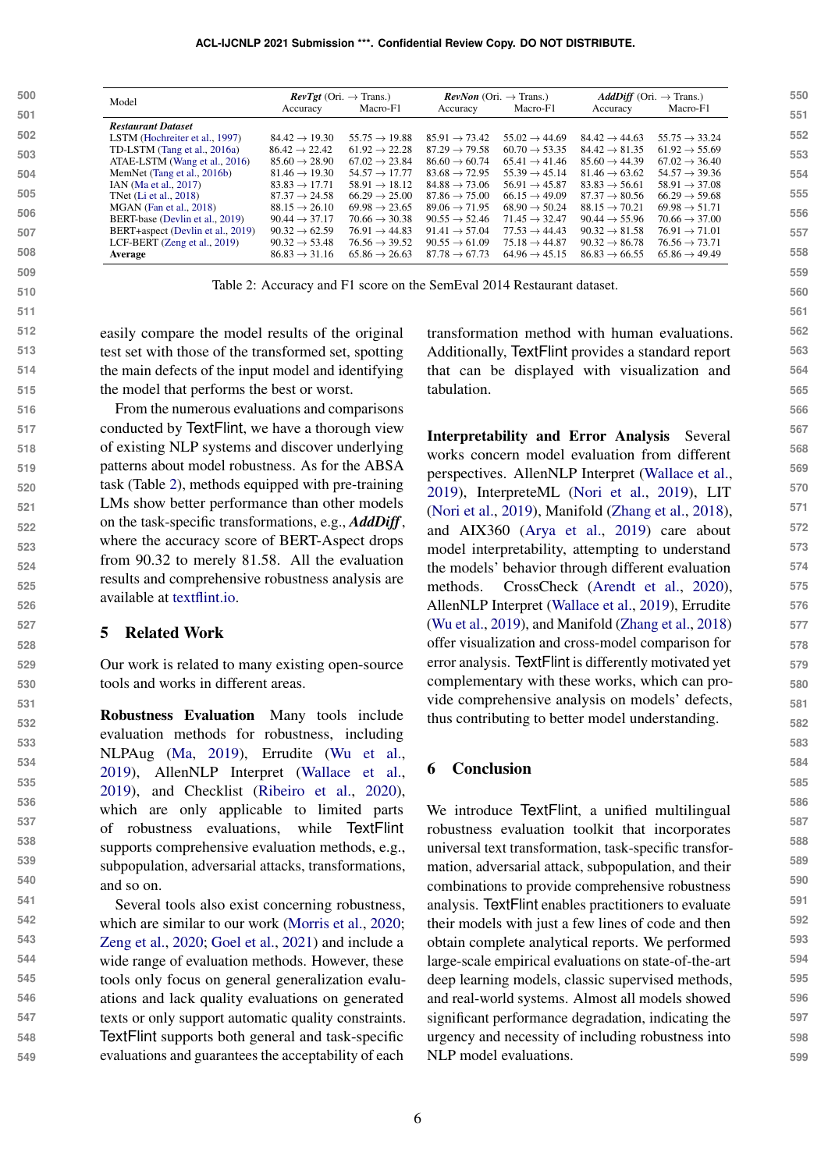#### **ACL-IJCNLP 2021 Submission \*\*\*. Confidential Review Copy. DO NOT DISTRIBUTE.**

<span id="page-5-0"></span>

| 500 | Model                             | $\mathit{RevTgt}$ (Ori. $\rightarrow$ Trans.) |                           |                           | <b>RevNon</b> (Ori. $\rightarrow$ Trans.) | <b>AddDiff</b> (Ori. $\rightarrow$ Trans.) |                           |  |
|-----|-----------------------------------|-----------------------------------------------|---------------------------|---------------------------|-------------------------------------------|--------------------------------------------|---------------------------|--|
| 501 |                                   | Accuracy                                      | Macro-F1                  | Accuracy                  | Macro-F1                                  | Accuracy                                   | Macro-F1                  |  |
|     | <b>Restaurant Dataset</b>         |                                               |                           |                           |                                           |                                            |                           |  |
| 502 | LSTM (Hochreiter et al., 1997)    | $84.42 \rightarrow 19.30$                     | $55.75 \rightarrow 19.88$ | $85.91 \rightarrow 73.42$ | $55.02 \rightarrow 44.69$                 | $84.42 \rightarrow 44.63$                  | $55.75 \rightarrow 33.24$ |  |
| 503 | TD-LSTM (Tang et al., 2016a)      | $86.42 \rightarrow 22.42$                     | $61.92 \rightarrow 22.28$ | $87.29 \rightarrow 79.58$ | $60.70 \rightarrow 53.35$                 | $84.42 \rightarrow 81.35$                  | $61.92 \rightarrow 55.69$ |  |
|     | ATAE-LSTM (Wang et al., 2016)     | $85.60 \rightarrow 28.90$                     | $67.02 \rightarrow 23.84$ | $86.60 \rightarrow 60.74$ | $65.41 \rightarrow 41.46$                 | $85.60 \rightarrow 44.39$                  | $67.02 \rightarrow 36.40$ |  |
| 504 | MemNet (Tang et al., 2016b)       | $81.46 \rightarrow 19.30$                     | $54.57 \rightarrow 17.77$ | $83.68 \rightarrow 72.95$ | $55.39 \rightarrow 45.14$                 | $81.46 \rightarrow 63.62$                  | $54.57 \rightarrow 39.36$ |  |
|     | IAN (Ma et al., 2017)             | $83.83 \rightarrow 17.71$                     | $58.91 \rightarrow 18.12$ | $84.88 \rightarrow 73.06$ | $56.91 \rightarrow 45.87$                 | $83.83 \rightarrow 56.61$                  | $58.91 \rightarrow 37.08$ |  |
| 505 | TNet (Li et al., 2018)            | $87.37 \rightarrow 24.58$                     | $66.29 \rightarrow 25.00$ | $87.86 \rightarrow 75.00$ | $66.15 \rightarrow 49.09$                 | $87.37 \rightarrow 80.56$                  | $66.29 \rightarrow 59.68$ |  |
| 506 | MGAN (Fan et al., 2018)           | $88.15 \rightarrow 26.10$                     | $69.98 \rightarrow 23.65$ | $89.06 \rightarrow 71.95$ | $68.90 \rightarrow 50.24$                 | $88.15 \rightarrow 70.21$                  | $69.98 \rightarrow 51.71$ |  |
|     | BERT-base (Devlin et al., 2019)   | $90.44 \rightarrow 37.17$                     | $70.66 \rightarrow 30.38$ | $90.55 \rightarrow 52.46$ | $71.45 \rightarrow 32.47$                 | $90.44 \rightarrow 55.96$                  | $70.66 \rightarrow 37.00$ |  |
| 507 | BERT+aspect (Devlin et al., 2019) | $90.32 \rightarrow 62.59$                     | $76.91 \rightarrow 44.83$ | $91.41 \rightarrow 57.04$ | $77.53 \rightarrow 44.43$                 | $90.32 \rightarrow 81.58$                  | $76.91 \rightarrow 71.01$ |  |
|     | LCF-BERT $(Zeng et al., 2019)$    | $90.32 \rightarrow 53.48$                     | $76.56 \rightarrow 39.52$ | $90.55 \rightarrow 61.09$ | $75.18 \rightarrow 44.87$                 | $90.32 \rightarrow 86.78$                  | $76.56 \rightarrow 73.71$ |  |
| 508 | Average                           | $86.83 \rightarrow 31.16$                     | $65.86 \rightarrow 26.63$ | $87.78 \rightarrow 67.73$ | $64.96 \rightarrow 45.15$                 | $86.83 \rightarrow 66.55$                  | $65.86 \rightarrow 49.49$ |  |
| 509 |                                   |                                               |                           |                           |                                           |                                            |                           |  |

Table 2: Accuracy and F1 score on the SemEval 2014 Restaurant dataset.

easily compare the model results of the original test set with those of the transformed set, spotting the main defects of the input model and identifying the model that performs the best or worst.

From the numerous evaluations and comparisons conducted by TextFlint, we have a thorough view of existing NLP systems and discover underlying patterns about model robustness. As for the ABSA task (Table [2\)](#page-5-0), methods equipped with pre-training LMs show better performance than other models on the task-specific transformations, e.g., *AddDiff*, where the accuracy score of BERT-Aspect drops from 90.32 to merely 81.58. All the evaluation results and comprehensive robustness analysis are available at [textflint.io.](textflint.io)

### 5 Related Work

**543**

Our work is related to many existing open-source tools and works in different areas.

Robustness Evaluation Many tools include evaluation methods for robustness, including NLPAug [\(Ma,](#page-6-10) [2019\)](#page-6-10), Errudite [\(Wu et al.,](#page-7-6) [2019\)](#page-7-6), AllenNLP Interpret [\(Wallace et al.,](#page-7-7) [2019\)](#page-7-7), and Checklist [\(Ribeiro et al.,](#page-6-11) [2020\)](#page-6-11), which are only applicable to limited parts of robustness evaluations, while TextFlint supports comprehensive evaluation methods, e.g., subpopulation, adversarial attacks, transformations, and so on.

**541 542 544 545** Several tools also exist concerning robustness, which are similar to our work [\(Morris et al.,](#page-6-3) [2020;](#page-6-3) [Zeng et al.,](#page-7-8) [2020;](#page-7-8) [Goel et al.,](#page-6-12) [2021\)](#page-6-12) and include a wide range of evaluation methods. However, these tools only focus on general generalization evaluations and lack quality evaluations on generated texts or only support automatic quality constraints. TextFlint supports both general and task-specific evaluations and guarantees the acceptability of each transformation method with human evaluations. Additionally, TextFlint provides a standard report that can be displayed with visualization and tabulation.

Interpretability and Error Analysis Several works concern model evaluation from different perspectives. AllenNLP Interpret [\(Wallace et al.,](#page-7-7) [2019\)](#page-7-7), InterpreteML [\(Nori et al.,](#page-6-13) [2019\)](#page-6-13), LIT [\(Nori et al.,](#page-6-13) [2019\)](#page-6-13), Manifold [\(Zhang et al.,](#page-7-9) [2018\)](#page-7-9), and AIX360 [\(Arya et al.,](#page-6-14) [2019\)](#page-6-14) care about model interpretability, attempting to understand the models' behavior through different evaluation methods. CrossCheck [\(Arendt et al.,](#page-6-15) [2020\)](#page-6-15), AllenNLP Interpret [\(Wallace et al.,](#page-7-7) [2019\)](#page-7-7), Errudite [\(Wu et al.,](#page-7-6) [2019\)](#page-7-6), and Manifold [\(Zhang et al.,](#page-7-9) [2018\)](#page-7-9) offer visualization and cross-model comparison for error analysis. TextFlint is differently motivated yet complementary with these works, which can provide comprehensive analysis on models' defects, thus contributing to better model understanding.

### 6 Conclusion

We introduce TextFlint, a unified multilingual robustness evaluation toolkit that incorporates universal text transformation, task-specific transformation, adversarial attack, subpopulation, and their combinations to provide comprehensive robustness analysis. TextFlint enables practitioners to evaluate their models with just a few lines of code and then obtain complete analytical reports. We performed large-scale empirical evaluations on state-of-the-art deep learning models, classic supervised methods, and real-world systems. Almost all models showed significant performance degradation, indicating the urgency and necessity of including robustness into NLP model evaluations.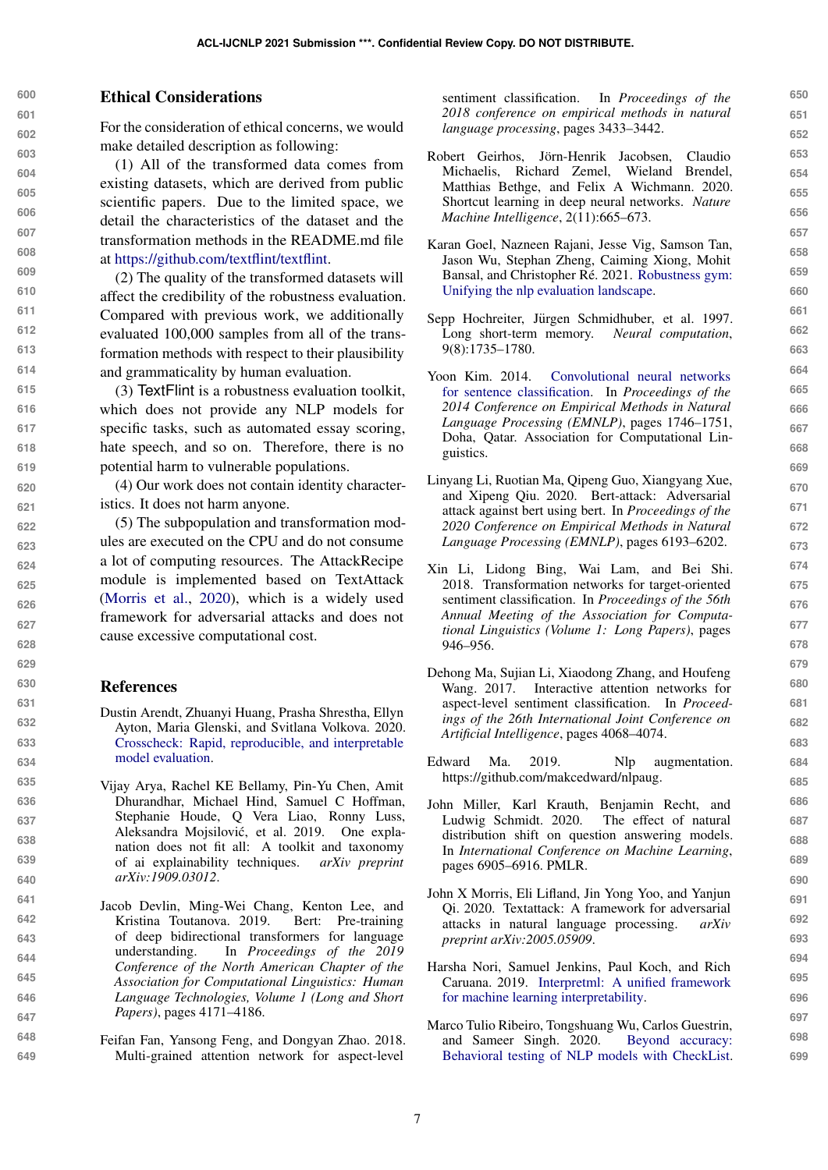# Ethical Considerations

For the consideration of ethical concerns, we would make detailed description as following:

(1) All of the transformed data comes from existing datasets, which are derived from public scientific papers. Due to the limited space, we detail the characteristics of the dataset and the transformation methods in the README.md file at [https://github.com/textflint/textflint.](https://github.com/textflint/textflint)

(2) The quality of the transformed datasets will affect the credibility of the robustness evaluation. Compared with previous work, we additionally evaluated 100,000 samples from all of the transformation methods with respect to their plausibility and grammaticality by human evaluation.

(3) TextFlint is a robustness evaluation toolkit, which does not provide any NLP models for specific tasks, such as automated essay scoring, hate speech, and so on. Therefore, there is no potential harm to vulnerable populations.

(4) Our work does not contain identity characteristics. It does not harm anyone.

(5) The subpopulation and transformation modules are executed on the CPU and do not consume a lot of computing resources. The AttackRecipe module is implemented based on TextAttack [\(Morris et al.,](#page-6-3) [2020\)](#page-6-3), which is a widely used framework for adversarial attacks and does not cause excessive computational cost.

#### References

<span id="page-6-9"></span>**648 649**

- <span id="page-6-15"></span>Dustin Arendt, Zhuanyi Huang, Prasha Shrestha, Ellyn Ayton, Maria Glenski, and Svitlana Volkova. 2020. [Crosscheck: Rapid, reproducible, and interpretable](http://arxiv.org/abs/2004.07993) [model evaluation.](http://arxiv.org/abs/2004.07993)
- <span id="page-6-14"></span>Vijay Arya, Rachel KE Bellamy, Pin-Yu Chen, Amit Dhurandhar, Michael Hind, Samuel C Hoffman, Stephanie Houde, Q Vera Liao, Ronny Luss, Aleksandra Mojsilović, et al. 2019. One explanation does not fit all: A toolkit and taxonomy of ai explainability techniques. *arXiv preprint arXiv:1909.03012*.
- <span id="page-6-5"></span>**647** Jacob Devlin, Ming-Wei Chang, Kenton Lee, and Kristina Toutanova. 2019. Bert: Pre-training of deep bidirectional transformers for language understanding. In *Proceedings of the 2019 Conference of the North American Chapter of the Association for Computational Linguistics: Human Language Technologies, Volume 1 (Long and Short Papers)*, pages 4171–4186.
	- Feifan Fan, Yansong Feng, and Dongyan Zhao. 2018. Multi-grained attention network for aspect-level

sentiment classification. In *Proceedings of the 2018 conference on empirical methods in natural language processing*, pages 3433–3442.

- <span id="page-6-2"></span>Robert Geirhos, Jörn-Henrik Jacobsen, Claudio Michaelis, Richard Zemel, Wieland Brendel, Matthias Bethge, and Felix A Wichmann. 2020. Shortcut learning in deep neural networks. *Nature Machine Intelligence*, 2(11):665–673.
- <span id="page-6-12"></span>Karan Goel, Nazneen Rajani, Jesse Vig, Samson Tan, Jason Wu, Stephan Zheng, Caiming Xiong, Mohit Bansal, and Christopher Ré. 2021. [Robustness gym:](http://arxiv.org/abs/2101.04840) [Unifying the nlp evaluation landscape.](http://arxiv.org/abs/2101.04840)
- <span id="page-6-6"></span>Sepp Hochreiter, Jürgen Schmidhuber, et al. 1997. Long short-term memory. *Neural computation*, 9(8):1735–1780.
- <span id="page-6-4"></span>Yoon Kim. 2014. [Convolutional neural networks](https://doi.org/10.3115/v1/D14-1181) [for sentence classification.](https://doi.org/10.3115/v1/D14-1181) In *Proceedings of the 2014 Conference on Empirical Methods in Natural Language Processing (EMNLP)*, pages 1746–1751, Doha, Qatar. Association for Computational Linguistics.
- <span id="page-6-0"></span>Linyang Li, Ruotian Ma, Qipeng Guo, Xiangyang Xue, and Xipeng Qiu. 2020. Bert-attack: Adversarial attack against bert using bert. In *Proceedings of the 2020 Conference on Empirical Methods in Natural Language Processing (EMNLP)*, pages 6193–6202.
- <span id="page-6-8"></span>Xin Li, Lidong Bing, Wai Lam, and Bei Shi. 2018. Transformation networks for target-oriented sentiment classification. In *Proceedings of the 56th Annual Meeting of the Association for Computational Linguistics (Volume 1: Long Papers)*, pages 946–956.
- <span id="page-6-7"></span>Dehong Ma, Sujian Li, Xiaodong Zhang, and Houfeng Wang. 2017. Interactive attention networks for aspect-level sentiment classification. In *Proceedings of the 26th International Joint Conference on Artificial Intelligence*, pages 4068–4074.
- <span id="page-6-10"></span>Edward Ma. 2019. Nlp augmentation. https://github.com/makcedward/nlpaug.
- <span id="page-6-1"></span>John Miller, Karl Krauth, Benjamin Recht, and Ludwig Schmidt. 2020. The effect of natural distribution shift on question answering models. In *International Conference on Machine Learning*, pages 6905–6916. PMLR.
- <span id="page-6-3"></span>John X Morris, Eli Lifland, Jin Yong Yoo, and Yanjun Qi. 2020. Textattack: A framework for adversarial attacks in natural language processing. *arXiv preprint arXiv:2005.05909*.
- <span id="page-6-13"></span>Harsha Nori, Samuel Jenkins, Paul Koch, and Rich Caruana. 2019. [Interpretml: A unified framework](http://arxiv.org/abs/1909.09223) [for machine learning interpretability.](http://arxiv.org/abs/1909.09223)
- <span id="page-6-11"></span>Marco Tulio Ribeiro, Tongshuang Wu, Carlos Guestrin, and Sameer Singh. 2020. [Beyond accuracy:](https://doi.org/10.18653/v1/2020.acl-main.442) [Behavioral testing of NLP models with CheckList.](https://doi.org/10.18653/v1/2020.acl-main.442)